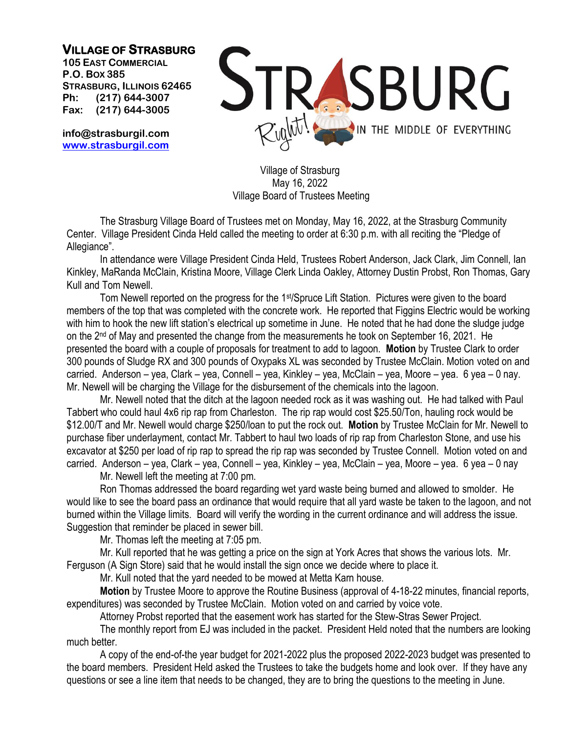## **VILLAGE OF STRASBURG**

**105 EAST COMMERCIAL P.O. BOX 385 STRASBURG, ILLINOIS 62465 Ph: (217) 644-3007 Fax: (217) 644-3005**

**info@strasburgil.com [www.strasburgil.com](about:blank)**



Village of Strasburg May 16, 2022 Village Board of Trustees Meeting

The Strasburg Village Board of Trustees met on Monday, May 16, 2022, at the Strasburg Community Center. Village President Cinda Held called the meeting to order at 6:30 p.m. with all reciting the "Pledge of Allegiance".

In attendance were Village President Cinda Held, Trustees Robert Anderson, Jack Clark, Jim Connell, Ian Kinkley, MaRanda McClain, Kristina Moore, Village Clerk Linda Oakley, Attorney Dustin Probst, Ron Thomas, Gary Kull and Tom Newell.

Tom Newell reported on the progress for the 1st/Spruce Lift Station. Pictures were given to the board members of the top that was completed with the concrete work. He reported that Figgins Electric would be working with him to hook the new lift station's electrical up sometime in June. He noted that he had done the sludge judge on the 2<sup>nd</sup> of May and presented the change from the measurements he took on September 16, 2021. He presented the board with a couple of proposals for treatment to add to lagoon. **Motion** by Trustee Clark to order 300 pounds of Sludge RX and 300 pounds of Oxypaks XL was seconded by Trustee McClain. Motion voted on and carried. Anderson – yea, Clark – yea, Connell – yea, Kinkley – yea, McClain – yea, Moore – yea. 6 yea – 0 nay. Mr. Newell will be charging the Village for the disbursement of the chemicals into the lagoon.

Mr. Newell noted that the ditch at the lagoon needed rock as it was washing out. He had talked with Paul Tabbert who could haul 4x6 rip rap from Charleston. The rip rap would cost \$25.50/Ton, hauling rock would be \$12.00/T and Mr. Newell would charge \$250/loan to put the rock out. **Motion** by Trustee McClain for Mr. Newell to purchase fiber underlayment, contact Mr. Tabbert to haul two loads of rip rap from Charleston Stone, and use his excavator at \$250 per load of rip rap to spread the rip rap was seconded by Trustee Connell. Motion voted on and carried. Anderson – yea, Clark – yea, Connell – yea, Kinkley – yea, McClain – yea, Moore – yea. 6 yea – 0 nay

Mr. Newell left the meeting at 7:00 pm.

Ron Thomas addressed the board regarding wet yard waste being burned and allowed to smolder. He would like to see the board pass an ordinance that would require that all yard waste be taken to the lagoon, and not burned within the Village limits. Board will verify the wording in the current ordinance and will address the issue. Suggestion that reminder be placed in sewer bill.

Mr. Thomas left the meeting at 7:05 pm.

Mr. Kull reported that he was getting a price on the sign at York Acres that shows the various lots. Mr. Ferguson (A Sign Store) said that he would install the sign once we decide where to place it.

Mr. Kull noted that the yard needed to be mowed at Metta Karn house.

**Motion** by Trustee Moore to approve the Routine Business (approval of 4-18-22 minutes, financial reports, expenditures) was seconded by Trustee McClain. Motion voted on and carried by voice vote.

Attorney Probst reported that the easement work has started for the Stew-Stras Sewer Project.

The monthly report from EJ was included in the packet. President Held noted that the numbers are looking much better.

A copy of the end-of-the year budget for 2021-2022 plus the proposed 2022-2023 budget was presented to the board members. President Held asked the Trustees to take the budgets home and look over. If they have any questions or see a line item that needs to be changed, they are to bring the questions to the meeting in June.